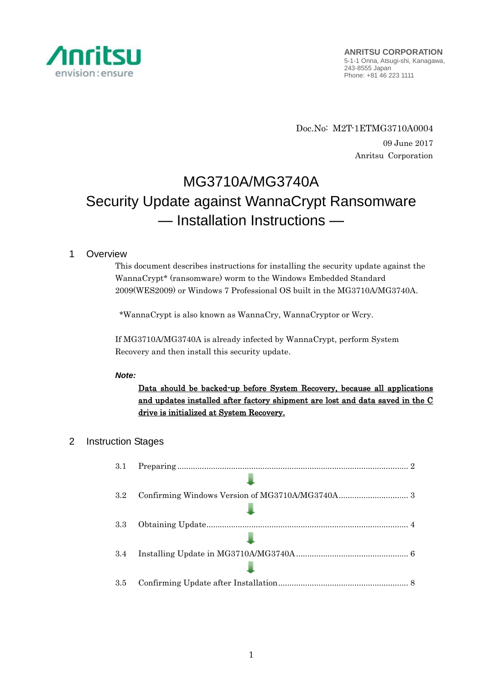

Doc.No: M2T-1ETMG3710A0004 09 June 2017 Anritsu Corporation

# MG3710A/MG3740A Security Update against WannaCrypt Ransomware — Installation Instructions —

# 1 Overview

This document describes instructions for installing the security update against the WannaCrypt\* (ransomware) worm to the Windows Embedded Standard 2009(WES2009) or Windows 7 Professional OS built in the MG3710A/MG3740A.

\*WannaCrypt is also known as WannaCry, WannaCryptor or Wcry.

If MG3710A/MG3740A is already infected by WannaCrypt, perform System Recovery and then install this security update.

## *Note:*

Data should be backed-up before System Recovery, because all applications and updates installed after factory shipment are lost and data saved in the C drive is initialized at System Recovery.

# 2 Instruction Stages

| 3.1 |  |
|-----|--|
|     |  |
| 3.2 |  |
|     |  |
| 3.3 |  |
|     |  |
| 3.4 |  |
|     |  |
| 3.5 |  |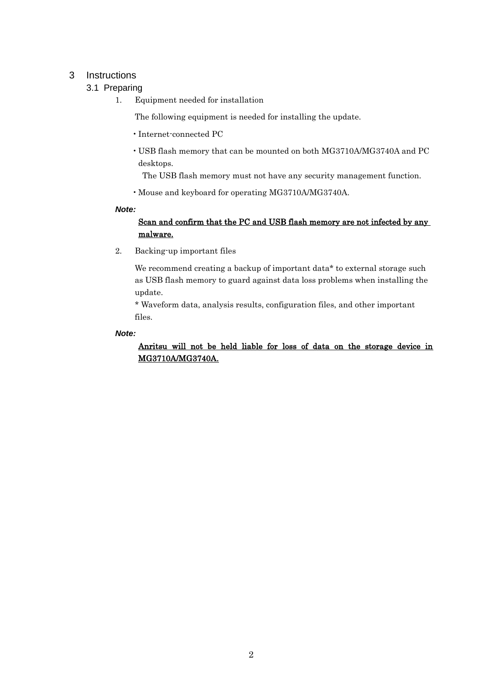# <span id="page-1-1"></span><span id="page-1-0"></span>3 Instructions

# 3.1 Preparing

1. Equipment needed for installation

The following equipment is needed for installing the update.

- •Internet-connected PC
- USB flash memory that can be mounted on both MG3710A/MG3740A and PC desktops.

The USB flash memory must not have any security management function.

•Mouse and keyboard for operating MG3710A/MG3740A.

#### *Note:*

# Scan and confirm that the PC and USB flash memory are not infected by any malware.

2. Backing-up important files

We recommend creating a backup of important data\* to external storage such as USB flash memory to guard against data loss problems when installing the update.

\* Waveform data, analysis results, configuration files, and other important files.

#### *Note:*

Anritsu will not be held liable for loss of data on the storage device in MG3710A/MG3740A.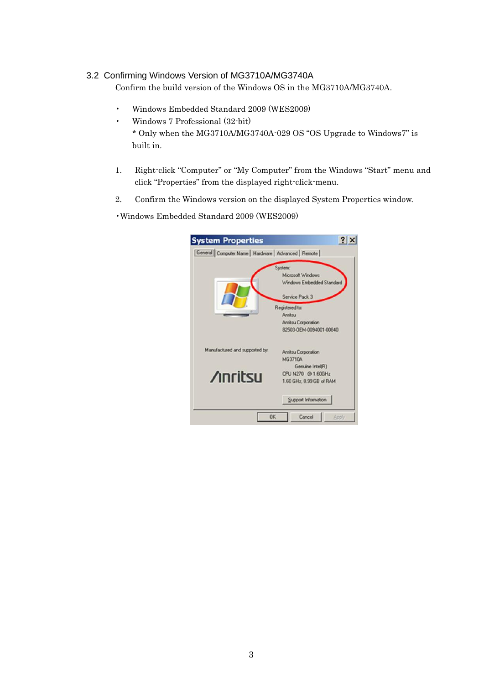## <span id="page-2-0"></span>3.2 Confirming Windows Version of MG3710A/MG3740A

Confirm the build version of the Windows OS in the MG3710A/MG3740A.

- Windows Embedded Standard 2009 (WES2009)
- Windows 7 Professional (32-bit)
	- \* Only when the MG3710A/MG3740A-029 OS "OS Upgrade to Windows7" is built in.
- 1. Right-click "Computer" or "My Computer" from the Windows "Start" menu and click "Properties" from the displayed right-click-menu.
- 2. Confirm the Windows version on the displayed System Properties window.

•Windows Embedded Standard 2009 (WES2009)

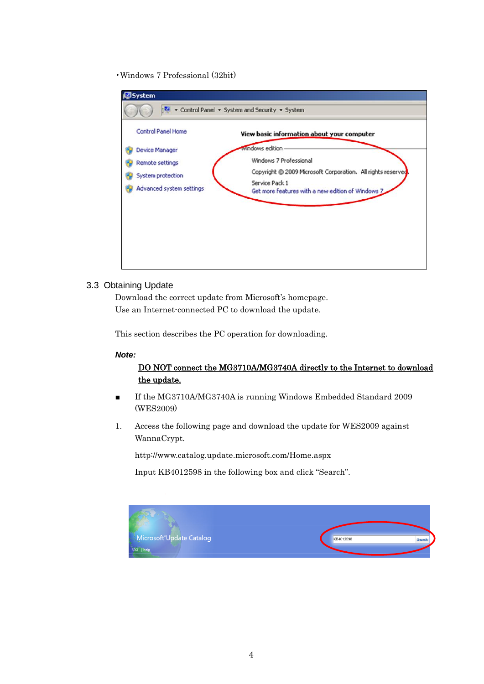•Windows 7 Professional (32bit)

|                           | Control Panel - System and Security - System                        |
|---------------------------|---------------------------------------------------------------------|
| <b>Control Panel Home</b> | View basic information about your computer                          |
| Device Manager            | windows edition                                                     |
| Remote settings           | Windows 7 Professional                                              |
| System protection         | Copyright © 2009 Microsoft Corporation. All rights reserved         |
| Advanced system settings  | Service Pack 1<br>Get more features with a new edition of Windows 7 |
|                           |                                                                     |
|                           |                                                                     |
|                           |                                                                     |
|                           |                                                                     |
|                           |                                                                     |

#### <span id="page-3-0"></span>3.3 Obtaining Update

Download the correct update from Microsoft's homepage. Use an Internet-connected PC to download the update.

This section describes the PC operation for downloading.

#### *Note:*

## DO NOT connect the MG3710A/MG3740A directly to the Internet to download the update.

- If the MG3710A/MG3740A is running Windows Embedded Standard 2009 (WES2009)
- 1. Access the following page and download the update for WES2009 against WannaCrypt.

<http://www.catalog.update.microsoft.com/Home.aspx>

Input KB4012598 in the following box and click "Search".

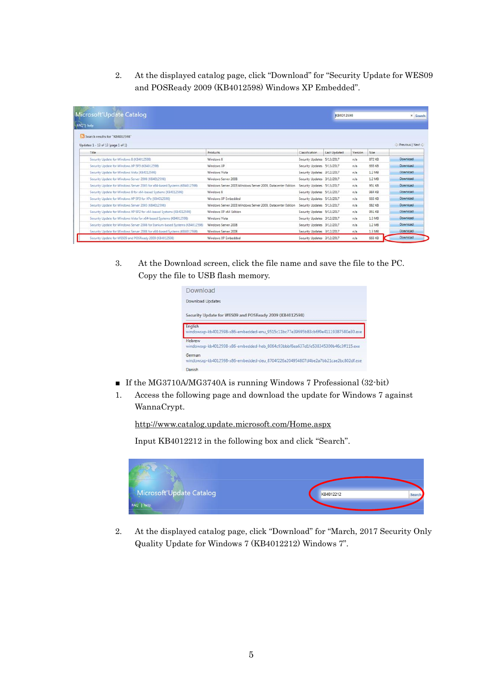2. At the displayed catalog page, click "Download" for "Security Update for WES09 and POSReady 2009 (KB4012598) Windows XP Embedded".

| Microsoft Update Catalog<br>FAQ 1 help                                        |                                                              |                            |              | KB4012598 |        | x Search        |
|-------------------------------------------------------------------------------|--------------------------------------------------------------|----------------------------|--------------|-----------|--------|-----------------|
| Search results for "KB4012598"                                                |                                                              |                            |              |           |        |                 |
| Updates: 1 - 13 of 13 (page 1 of 1)                                           |                                                              |                            |              |           |        | Previous   Next |
| Title                                                                         | Products                                                     | Classification             | Last Updated | Version   | Size:  |                 |
| Security Update for Windows 8 (KB4012598)                                     | Windows 8                                                    | Security Updates 5/13/2017 |              | n/s       | 872 KB | Download        |
| Security Update for Windows XP SP3 (KB4012598)                                | Windows XP                                                   | Security Updates 5/13/2017 |              | n/a       | 665 KB | Download        |
| Security Update for Windows Vista (KB4012598)                                 | Windows Vista                                                | Security Updates 3/12/2017 |              | n/a       | 1.2 MB | Download        |
| Security Update for Windows Server 2008 (KB4012598)                           | Windows Server 2008                                          | Security Updates 3/12/2017 |              | n/s       | 1.2 MB | Download        |
| Security Update for Windows Server 2003 for x64-based Systems (KB4012598)     | Windows Server 2003. Windows Server 2003. Datacenter Edition | Security Updates 5/13/2017 |              | n/a       | 951 KB | Download        |
| Security Update for Windows 8 for x64-based Systems (KB4012598)               | Windows 8                                                    | Security Updates 5/13/2017 |              | n/a       | 984 KB | Download        |
| Security Update for Windows XP SP3 for XPe (KB4012598)                        | Windows XP Embedded                                          | Security Updates 5/13/2017 |              | n/a       | 665 KB | Download        |
| Security Update for Windows Server 2003 (KB4012598)                           | Windows Server 2003 Windows Server 2003. Datacenter Edition  | Security Updates 5/13/2017 |              | n/a       | 682 KB | Download        |
| Security Update for Windows XP SP2 for x64-based Systems (KB4012598)          | Windows XP x64 Edition                                       | Security Updates 5/13/2017 |              | n/a       | 951 KB | Download        |
| Security Update for Windows Vista for x64-based Systems (K84012598)           | Windows Vista                                                | Security Updates 3/12/2017 |              | n/a       | 1.3 MB | Download        |
| Security Update for Windows Server 2008 for Itanium-based Systems (KB4012598) | Windows Server 2008                                          | Security Updates 3/12/2017 |              | n/s       | 1.2 MB | Download        |
| Security Update for Windows Server 2008 for x64-based Systems (KB4012598)     | Windows Server 2008                                          | Security Updates 3/12/2017 |              | n/a       | 1.3 MB | Download        |
| Security Update for WES09 and POSReady 2009 (K84012598)                       | Windows XP Embedded                                          | Security Updates 3/12/2017 |              | n/a       | 665 KB | Download        |

3. At the Download screen, click the file name and save the file to the PC. Copy the file to USB flash memory.

| Download                |                                                                                   |
|-------------------------|-----------------------------------------------------------------------------------|
| <b>Download Updates</b> |                                                                                   |
|                         | Security Update for WES09 and POSReady 2009 (KB4012598)                           |
| English                 | windowsxp-kb4012598-x86-embedded-enu_9515c11bc77e39695b83cb6f0e41119387580e30.exe |
| Hebrew                  | windowsxp-kb4012598-x86-embedded-heb 8064c93bbbf8ea637d1fe538345300b46c3ff115.exe |
| German                  | windowsxp-kb4012598-x86-embedded-deu 8704f226a204954807d4be2a7bb21cae2bc802df.exe |
| Danish                  |                                                                                   |

- If the MG3710A/MG3740A is running Windows 7 Professional (32-bit)
- 1. Access the following page and download the update for Windows 7 against WannaCrypt.

<http://www.catalog.update.microsoft.com/Home.aspx>

Input KB4012212 in the following box and click "Search".



2. At the displayed catalog page, click "Download" for "March, 2017 Security Only Quality Update for Windows 7 (KB4012212) Windows 7".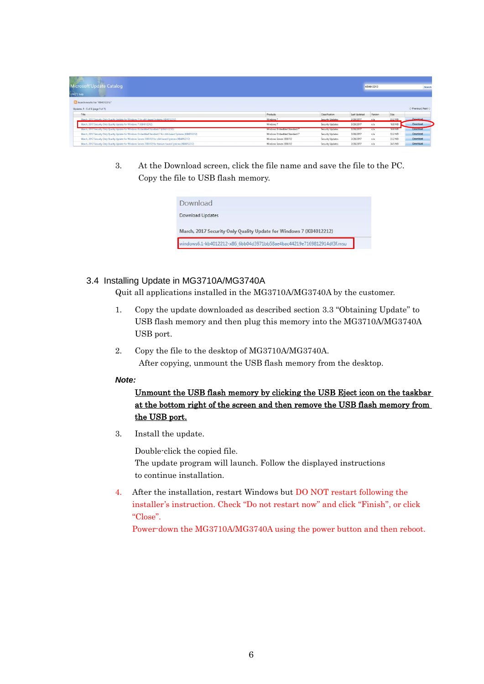| Microsoft Update Catalog<br><b>FAQ'T help</b>                                                              |                             |                  |                     | KB4012212 |         | Search          |
|------------------------------------------------------------------------------------------------------------|-----------------------------|------------------|---------------------|-----------|---------|-----------------|
| Search results for "KB4012212"                                                                             |                             |                  |                     |           |         |                 |
| Updates: 1 - 6 of 6 (page 1 of 1)                                                                          |                             |                  |                     |           |         | Previous   Next |
| Title                                                                                                      | Products                    | Classification   | <b>Last Updated</b> | Version   | Size    |                 |
| March, 2017 Security Only Quality Update for Windows 7 for x64-based Systems (KB4012212)                   | Windows 7                   | Security Updates | 3/28/2017           | n/a       | 33.2 MB | Download        |
| March, 2017 Security Only Quality Update for Windows 7 (KB4012212)                                         | Windows 7                   | Security Updates | 3/28/2017           | n/a       | 18.8 MB | Download        |
| March, 2017 Security Only Quality Update for Windows Embedded Standard 7 (KB4012212)                       | Windows Embedded Standard   | Security Updates | 3/28/2017           | n/a       | 18.8 MB | <b>Download</b> |
| March, 2017 Security Only Quality Update for Windows Embedded Standard 7 for x64-based Systems (KB4012212) | Windows Embedded Standard 7 | Security Updates | 3/28/2017           | n/a       | 33.2 MB | Download        |
| March, 2017 Security Only Quality Update for Windows Server 2008 R2 for x64-based Systems (KB4012212)      | Windows Server 2008 R2      | Security Updates | 3/28/2017           | n/a       | 33.2 MB | Download        |
| March, 2017 Security Only Quality Update for Windows Server 2008 R2 for Itanium-based Systems (KB4012212)  | Windows Server 2008 R2      | Security Updates | 3/28/2017           | n/a       | 34.5 MB | Download        |

3. At the Download screen, click the file name and save the file to the PC. Copy the file to USB flash memory.

| Download                                                             |  |
|----------------------------------------------------------------------|--|
| Download Updates                                                     |  |
| March, 2017 Security Only Quality Update for Windows 7 (KB4012212)   |  |
| indows6.1-kb4012212-x86_6bb04d3971bb58ae4bac44219e7169812914df3f.msu |  |

## <span id="page-5-0"></span>3.4 Installing Update in MG3710A/MG3740A

Quit all applications installed in the MG3710A/MG3740A by the customer.

- 1. Copy the update downloaded as described section [3.3](#page-3-0) "[Obtaining Update](#page-3-0)" to USB flash memory and then plug this memory into the MG3710A/MG3740A USB port.
- 2. Copy the file to the desktop of MG3710A/MG3740A. After copying, unmount the USB flash memory from the desktop.

#### *Note:*

Unmount the USB flash memory by clicking the USB Eject icon on the taskbar at the bottom right of the screen and then remove the USB flash memory from the USB port.

3. Install the update.

Double-click the copied file. The update program will launch. Follow the displayed instructions to continue installation.

4. After the installation, restart Windows but DO NOT restart following the installer's instruction. Check "Do not restart now" and click "Finish", or click "Close".

Power-down the MG3710A/MG3740A using the power button and then reboot.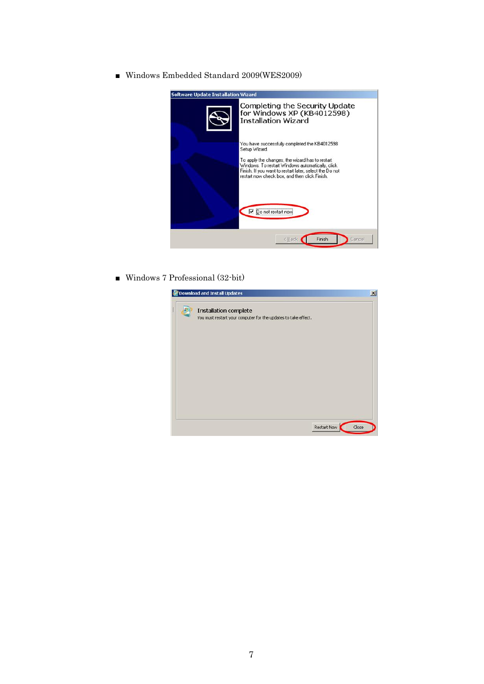■ Windows Embedded Standard 2009(WES2009)



■ Windows 7 Professional (32-bit)

| Download and Install Updates                                                                   |  |
|------------------------------------------------------------------------------------------------|--|
| <b>Installation complete</b><br>You must restart your computer for the updates to take effect. |  |
|                                                                                                |  |
|                                                                                                |  |
|                                                                                                |  |
|                                                                                                |  |
| Restart Now<br>Close                                                                           |  |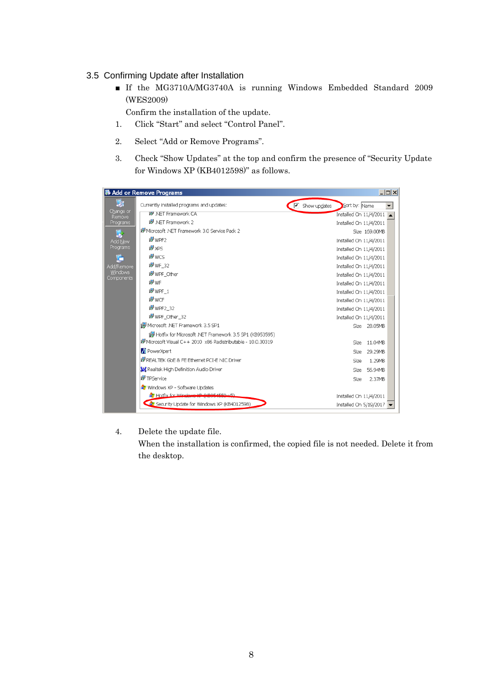## <span id="page-7-0"></span>3.5 Confirming Update after Installation

■ If the MG3710A/MG3740A is running Windows Embedded Standard 2009 (WES2009)

Confirm the installation of the update.

- 1. Click "Start" and select "Control Panel".
- 2. Select "Add or Remove Programs".
- 3. Check "Show Updates" at the top and confirm the presence of "Security Update for Windows XP (KB4012598)" as follows.

|                       | <b>ib</b> Add or Remove Programs                               |                                     |                        | $  $ $\Box$ $\times$ $ $ |
|-----------------------|----------------------------------------------------------------|-------------------------------------|------------------------|--------------------------|
| 尉                     | Currently installed programs and updates:                      | $\boxed{\blacksquare}$ Show updates | Sort by: Name          | $\overline{\phantom{a}}$ |
| Change or<br>Remove   | i5 <sup>9</sup> .NET Framework CA                              |                                     | Installed On 11/4/2011 |                          |
| Programs              | IS NET Framework 2                                             |                                     | Installed On 11/4/2011 |                          |
| $\mathbf{R}$          | 15 Microsoft .NET Framework 3.0 Service Pack 2                 |                                     | Size 169.00MB          |                          |
| Add New               | in WPF2                                                        |                                     | Installed On 11/4/2011 |                          |
| Programs              | <sup>图</sup> XPS                                               |                                     | Installed On 11/4/2011 |                          |
| G                     | i <sup>9</sup> wcs                                             |                                     | Installed On 11/4/2011 |                          |
| Add/Remove            | in WF 32                                                       |                                     | Installed On 11/4/2011 |                          |
| Windows<br>Components | in WPF Other                                                   |                                     | Installed On 11/4/2011 |                          |
|                       | <sup>15</sup> WF                                               |                                     | Installed On 11/4/2011 |                          |
|                       | in WPF 1                                                       |                                     | Installed On 11/4/2011 |                          |
|                       | i <sup>9</sup> WCF                                             |                                     | Installed On 11/4/2011 |                          |
|                       | in WPF2_32                                                     |                                     | Installed On 11/4/2011 |                          |
|                       | in WPF Other 32                                                |                                     | Installed On 11/4/2011 |                          |
|                       | 1. Microsoft .NET Framework 3.5 SP1                            |                                     | Size 28.05MB           |                          |
|                       | Hotfix for Microsoft .NET Framework 3.5 SP1 (KB953595)         |                                     |                        |                          |
|                       | ill Microsoft Visual C++ 2010 x86 Redistributable - 10.0.30319 |                                     | Size<br>11.04MB        |                          |
|                       | PowerXpert                                                     |                                     | 29.29MB<br>Size        |                          |
|                       | 提 REALTEK GbE & FE Ethernet PCI-E NIC Driver                   |                                     | 1.29MB<br>Size         |                          |
|                       | <b>XX</b> Realtek High Definition Audio Driver                 |                                     | 56.94MB<br>Size        |                          |
|                       | i <sup>g</sup> TPService                                       |                                     | 2.37MB<br>Size         |                          |
|                       | Windows XP - Software Updates                                  |                                     |                        |                          |
|                       | Hotfix for Windows YD (VROE4EEQ US)                            |                                     | Installed On 11/4/2011 |                          |
|                       | Security Update for Windows XP (KB4012598)                     |                                     | Installed On 5/19/2017 |                          |
|                       |                                                                |                                     |                        |                          |

4. Delete the update file.

When the installation is confirmed, the copied file is not needed. Delete it from the desktop.